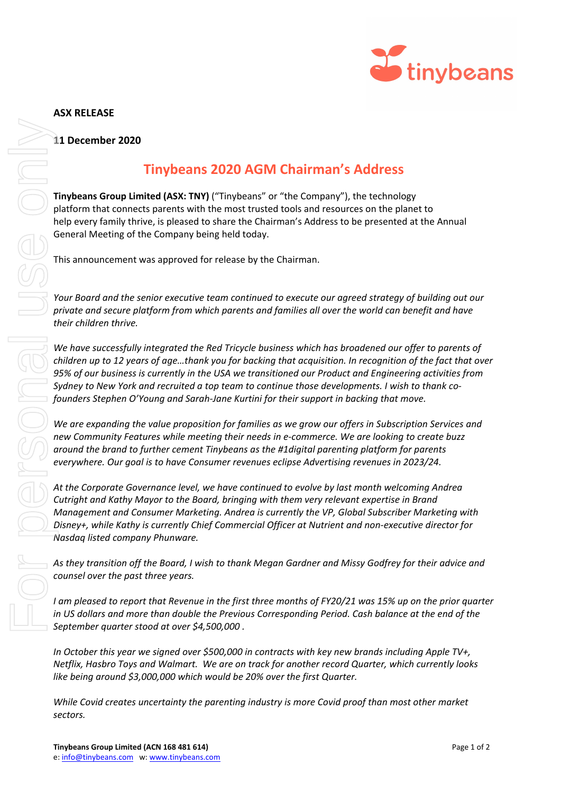

## **ASX RELEASE**

## **11 December 2020**

## **Tinybeans 2020 AGM Chairman's Address**

**Tinybeans Group Limited (ASX: TNY)** ("Tinybeans" or "the Company"), the technology platform that connects parents with the most trusted tools and resources on the planet to help every family thrive, is pleased to share the Chairman's Address to be presented at the Annual General Meeting of the Company being held today.

This announcement was approved for release by the Chairman.

*Your Board and the senior executive team continued to execute our agreed strategy of building out our private and secure platform from which parents and families all over the world can benefit and have their children thrive.*

*We have successfully integrated the Red Tricycle business which has broadened our offer to parents of children up to 12 years of age…thank you for backing that acquisition. In recognition of the fact that over 95% of our business is currently in the USA we transitioned our Product and Engineering activities from Sydney to New York and recruited a top team to continue those developments. I wish to thank cofounders Stephen O'Young and Sarah-Jane Kurtini for their support in backing that move.*

*We are expanding the value proposition for families as we grow our offers in Subscription Services and new Community Features while meeting their needs in e-commerce. We are looking to create buzz around the brand to further cement Tinybeans as the #1digital parenting platform for parents everywhere. Our goal is to have Consumer revenues eclipse Advertising revenues in 2023/24.*

*At the Corporate Governance level, we have continued to evolve by last month welcoming Andrea Cutright and Kathy Mayor to the Board, bringing with them very relevant expertise in Brand Management and Consumer Marketing. Andrea is currently the VP, Global Subscriber Marketing with Disney+, while Kathy is currently Chief Commercial Officer at Nutrient and non-executive director for Nasdaq listed company Phunware.*

*As they transition off the Board, I wish to thank Megan Gardner and Missy Godfrey for their advice and counsel over the past three years.*

*I am pleased to report that Revenue in the first three months of FY20/21 was 15% up on the prior quarter in US dollars and more than double the Previous Corresponding Period. Cash balance at the end of the September quarter stood at over \$4,500,000 .* 

*In October this year we signed over \$500,000 in contracts with key new brands including Apple TV+, Netflix, Hasbro Toys and Walmart. We are on track for another record Quarter, which currently looks like being around \$3,000,000 which would be 20% over the first Quarter.*

*While Covid creates uncertainty the parenting industry is more Covid proof than most other market*  sectors.